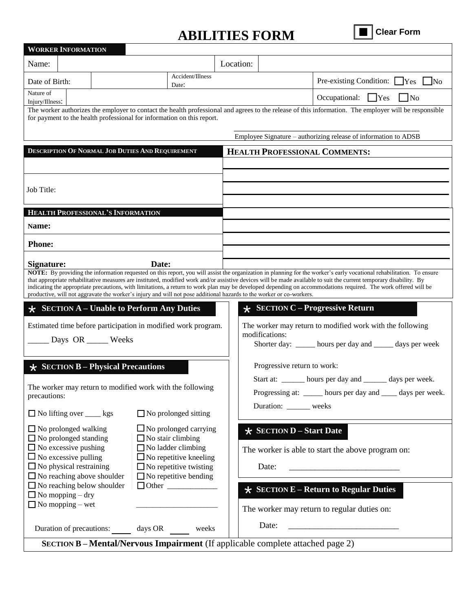## **ABILITIES FORM**

**Clear Form** 

| <b>WORKER INFORMATION</b>                                                                                            |                                                                |           |                                                                                                                                                                                                                                                                                                                                              |  |  |
|----------------------------------------------------------------------------------------------------------------------|----------------------------------------------------------------|-----------|----------------------------------------------------------------------------------------------------------------------------------------------------------------------------------------------------------------------------------------------------------------------------------------------------------------------------------------------|--|--|
| Name:                                                                                                                |                                                                | Location: |                                                                                                                                                                                                                                                                                                                                              |  |  |
| Accident/Illness<br>Date of Birth:<br>Date:                                                                          |                                                                |           | Pre-existing Condition: $\Box$ Yes $\Box$ No                                                                                                                                                                                                                                                                                                 |  |  |
| Nature of<br>Injury/Illness:                                                                                         |                                                                |           | Occupational: $\bigcap$ Yes<br>$\Box$ No                                                                                                                                                                                                                                                                                                     |  |  |
|                                                                                                                      |                                                                |           | The worker authorizes the employer to contact the health professional and agrees to the release of this information. The employer will be responsible                                                                                                                                                                                        |  |  |
| for payment to the health professional for information on this report.                                               |                                                                |           |                                                                                                                                                                                                                                                                                                                                              |  |  |
|                                                                                                                      |                                                                |           | Employee Signature – authorizing release of information to ADSB                                                                                                                                                                                                                                                                              |  |  |
| DESCRIPTION OF NORMAL JOB DUTIES AND REQUIREMENT                                                                     |                                                                |           | HEALTH PROFESSIONAL COMMENTS:                                                                                                                                                                                                                                                                                                                |  |  |
|                                                                                                                      |                                                                |           |                                                                                                                                                                                                                                                                                                                                              |  |  |
|                                                                                                                      |                                                                |           |                                                                                                                                                                                                                                                                                                                                              |  |  |
| Job Title:                                                                                                           |                                                                |           |                                                                                                                                                                                                                                                                                                                                              |  |  |
|                                                                                                                      |                                                                |           |                                                                                                                                                                                                                                                                                                                                              |  |  |
| <b>HEALTH PROFESSIONAL'S INFORMATION</b>                                                                             |                                                                |           |                                                                                                                                                                                                                                                                                                                                              |  |  |
| Name:                                                                                                                |                                                                |           |                                                                                                                                                                                                                                                                                                                                              |  |  |
| <b>Phone:</b>                                                                                                        |                                                                |           |                                                                                                                                                                                                                                                                                                                                              |  |  |
| Signature:                                                                                                           | Date:                                                          |           |                                                                                                                                                                                                                                                                                                                                              |  |  |
|                                                                                                                      |                                                                |           | NOTE: By providing the information requested on this report, you will assist the organization in planning for the worker's early vocational rehabilitation. To ensure<br>that appropriate rehabilitative measures are instituted, modified work and/or assistive devices will be made available to suit the current temporary disability. By |  |  |
|                                                                                                                      |                                                                |           | indicating the appropriate precautions, with limitations, a return to work plan may be developed depending on accommodations required. The work offered will be                                                                                                                                                                              |  |  |
|                                                                                                                      |                                                                |           |                                                                                                                                                                                                                                                                                                                                              |  |  |
| productive, will not aggravate the worker's injury and will not pose additional hazards to the worker or co-workers. |                                                                |           |                                                                                                                                                                                                                                                                                                                                              |  |  |
| $\star$ SECTION A – Unable to Perform Any Duties                                                                     |                                                                |           | $\star$ SECTION C – Progressive Return                                                                                                                                                                                                                                                                                                       |  |  |
| Estimated time before participation in modified work program.                                                        |                                                                |           | The worker may return to modified work with the following                                                                                                                                                                                                                                                                                    |  |  |
| Days OR ______ Weeks                                                                                                 |                                                                |           | modifications:<br>Shorter day: ______ hours per day and ______ days per week                                                                                                                                                                                                                                                                 |  |  |
|                                                                                                                      |                                                                |           |                                                                                                                                                                                                                                                                                                                                              |  |  |
| $\star$ SECTION B – Physical Precautions                                                                             |                                                                |           | Progressive return to work:                                                                                                                                                                                                                                                                                                                  |  |  |
|                                                                                                                      |                                                                |           | Start at: ______ hours per day and ______ days per week.                                                                                                                                                                                                                                                                                     |  |  |
| The worker may return to modified work with the following<br>precautions:                                            |                                                                |           | Progressing at: _____ hours per day and ____ days per week.                                                                                                                                                                                                                                                                                  |  |  |
| $\Box$ No lifting over $\_\_\_\$ kgs                                                                                 | $\Box$ No prolonged sitting                                    |           | Duration: ______ weeks                                                                                                                                                                                                                                                                                                                       |  |  |
| $\Box$ No prolonged walking                                                                                          | $\Box$ No prolonged carrying                                   |           | $\star$ SECTION D – Start Date                                                                                                                                                                                                                                                                                                               |  |  |
| $\Box$ No prolonged standing                                                                                         | $\Box$ No stair climbing                                       |           |                                                                                                                                                                                                                                                                                                                                              |  |  |
| $\Box$ No excessive pushing                                                                                          | $\Box$ No ladder climbing                                      |           | The worker is able to start the above program on:                                                                                                                                                                                                                                                                                            |  |  |
| $\Box$ No excessive pulling<br>$\Box$ No physical restraining                                                        | $\Box$ No repetitive kneeling<br>$\Box$ No repetitive twisting |           | Date:<br><u> 1989 - Johann Marie Barn, mars ar breithinn ar breithinn an t-Alban ann an 1990.</u>                                                                                                                                                                                                                                            |  |  |
| $\Box$ No reaching above shoulder                                                                                    | $\Box$ No repetitive bending                                   |           |                                                                                                                                                                                                                                                                                                                                              |  |  |
| $\Box$ No reaching below shoulder<br>$\Box$ No mopping – dry                                                         |                                                                |           | $\star$ SECTION E – Return to Regular Duties                                                                                                                                                                                                                                                                                                 |  |  |
| $\Box$ No mopping – wet                                                                                              |                                                                |           | The worker may return to regular duties on:                                                                                                                                                                                                                                                                                                  |  |  |
|                                                                                                                      |                                                                |           |                                                                                                                                                                                                                                                                                                                                              |  |  |
| Duration of precautions: days OR weeks                                                                               |                                                                |           | Date:<br>SECTION B - Mental/Nervous Impairment (If applicable complete attached page 2)                                                                                                                                                                                                                                                      |  |  |